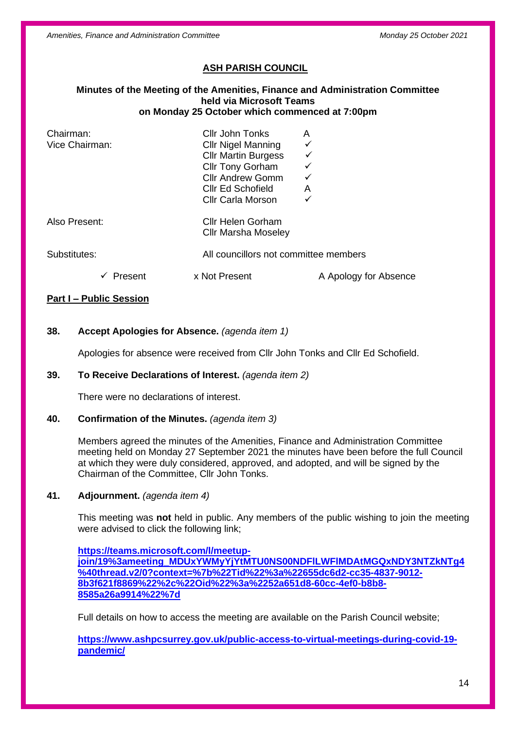*Amenities, Finance and Administration Committee Monday 25 October 2021*

# **ASH PARISH COUNCIL**

#### **Minutes of the Meeting of the Amenities, Finance and Administration Committee held via Microsoft Teams on Monday 25 October which commenced at 7:00pm**

| Chairman:<br>Vice Chairman: | Cllr John Tonks<br><b>CIIr Nigel Manning</b><br><b>Cllr Martin Burgess</b><br><b>Cllr Tony Gorham</b><br><b>Cllr Andrew Gomm</b><br>Cllr Ed Schofield<br><b>Cllr Carla Morson</b> | A<br>✓<br>$\checkmark$<br>A |
|-----------------------------|-----------------------------------------------------------------------------------------------------------------------------------------------------------------------------------|-----------------------------|
| Also Present:               | <b>Cllr Helen Gorham</b><br><b>CIIr Marsha Moseley</b>                                                                                                                            |                             |
| Substitutes:                | All councillors not committee members                                                                                                                                             |                             |
| Present                     | x Not Present                                                                                                                                                                     | A Apology for Absence       |

#### **Part I – Public Session**

## **38. Accept Apologies for Absence.** *(agenda item 1)*

Apologies for absence were received from Cllr John Tonks and Cllr Ed Schofield.

#### **39. To Receive Declarations of Interest.** *(agenda item 2)*

There were no declarations of interest.

#### **40. Confirmation of the Minutes.** *(agenda item 3)*

Members agreed the minutes of the Amenities, Finance and Administration Committee meeting held on Monday 27 September 2021 the minutes have been before the full Council at which they were duly considered, approved, and adopted, and will be signed by the Chairman of the Committee, Cllr John Tonks.

#### **41. Adjournment.** *(agenda item 4)*

This meeting was **not** held in public. Any members of the public wishing to join the meeting were advised to click the following link;

**[https://teams.microsoft.com/l/meetup](https://teams.microsoft.com/l/meetup-join/19%3ameeting_MDUxYWMyYjYtMTU0NS00NDFlLWFlMDAtMGQxNDY3NTZkNTg4%40thread.v2/0?context=%7b%22Tid%22%3a%22655dc6d2-cc35-4837-9012-8b3f621f8869%22%2c%22Oid%22%3a%2252a651d8-60cc-4ef0-b8b8-8585a26a9914%22%7d)[join/19%3ameeting\\_MDUxYWMyYjYtMTU0NS00NDFlLWFlMDAtMGQxNDY3NTZkNTg4](https://teams.microsoft.com/l/meetup-join/19%3ameeting_MDUxYWMyYjYtMTU0NS00NDFlLWFlMDAtMGQxNDY3NTZkNTg4%40thread.v2/0?context=%7b%22Tid%22%3a%22655dc6d2-cc35-4837-9012-8b3f621f8869%22%2c%22Oid%22%3a%2252a651d8-60cc-4ef0-b8b8-8585a26a9914%22%7d) [%40thread.v2/0?context=%7b%22Tid%22%3a%22655dc6d2-cc35-4837-9012-](https://teams.microsoft.com/l/meetup-join/19%3ameeting_MDUxYWMyYjYtMTU0NS00NDFlLWFlMDAtMGQxNDY3NTZkNTg4%40thread.v2/0?context=%7b%22Tid%22%3a%22655dc6d2-cc35-4837-9012-8b3f621f8869%22%2c%22Oid%22%3a%2252a651d8-60cc-4ef0-b8b8-8585a26a9914%22%7d) [8b3f621f8869%22%2c%22Oid%22%3a%2252a651d8-60cc-4ef0-b8b8-](https://teams.microsoft.com/l/meetup-join/19%3ameeting_MDUxYWMyYjYtMTU0NS00NDFlLWFlMDAtMGQxNDY3NTZkNTg4%40thread.v2/0?context=%7b%22Tid%22%3a%22655dc6d2-cc35-4837-9012-8b3f621f8869%22%2c%22Oid%22%3a%2252a651d8-60cc-4ef0-b8b8-8585a26a9914%22%7d) [8585a26a9914%22%7d](https://teams.microsoft.com/l/meetup-join/19%3ameeting_MDUxYWMyYjYtMTU0NS00NDFlLWFlMDAtMGQxNDY3NTZkNTg4%40thread.v2/0?context=%7b%22Tid%22%3a%22655dc6d2-cc35-4837-9012-8b3f621f8869%22%2c%22Oid%22%3a%2252a651d8-60cc-4ef0-b8b8-8585a26a9914%22%7d)**

Full details on how to access the meeting are available on the Parish Council website;

**[https://www.ashpcsurrey.gov.uk/public-access-to-virtual-meetings-during-covid-19](https://www.ashpcsurrey.gov.uk/public-access-to-virtual-meetings-during-covid-19-pandemic/) [pandemic/](https://www.ashpcsurrey.gov.uk/public-access-to-virtual-meetings-during-covid-19-pandemic/)**